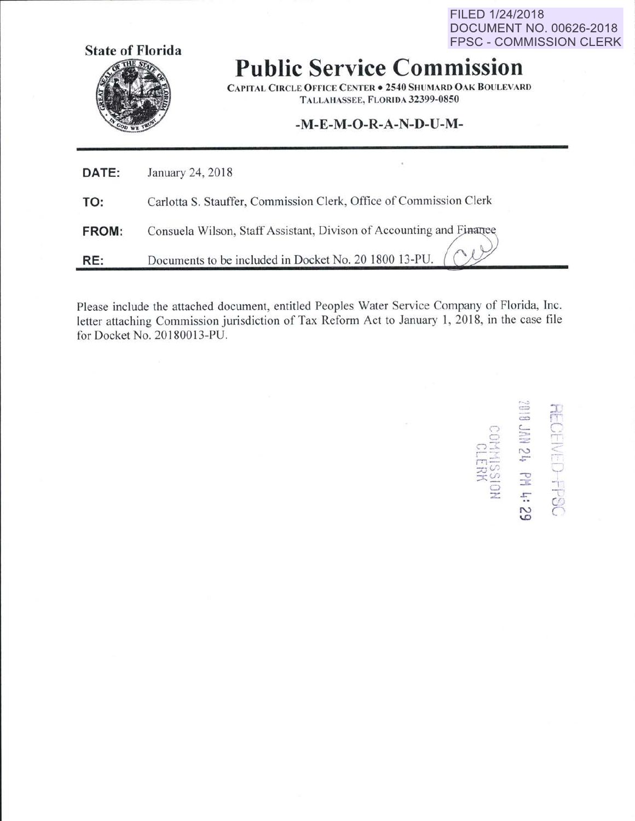FILED 1/24/2018 **DOCUMENT NO. 00626-2018 FPSC - COMMISSION CLERK** 



**Public Service Commission** 

**CAPITAL CIRCLE OFFICE CENTER . 2540 SHUMARD OAK BOULEVARD** TALLAHASSEE, FLORIDA 32399-0850

## -M-E-M-O-R-A-N-D-U-M-

| DATE: | January 24, 2018                                                    |
|-------|---------------------------------------------------------------------|
| TO:   | Carlotta S. Stauffer, Commission Clerk, Office of Commission Clerk  |
| FROM: | Consuela Wilson, Staff Assistant, Divison of Accounting and Finance |
| RE:   | Documents to be included in Docket No. 20 1800 13-PU.               |

Please include the attached document, entitled Peoples Water Service Company of Florida, Inc. letter attaching Commission jurisdiction of Tax Reform Act to January 1, 2018, in the case file for Docket No. 20180013-PU.

**RECEIVED-FPSC**<br>2010 JAN 24 PM 4: 29 HALL<br>NGCHAK<br>NGCHAK